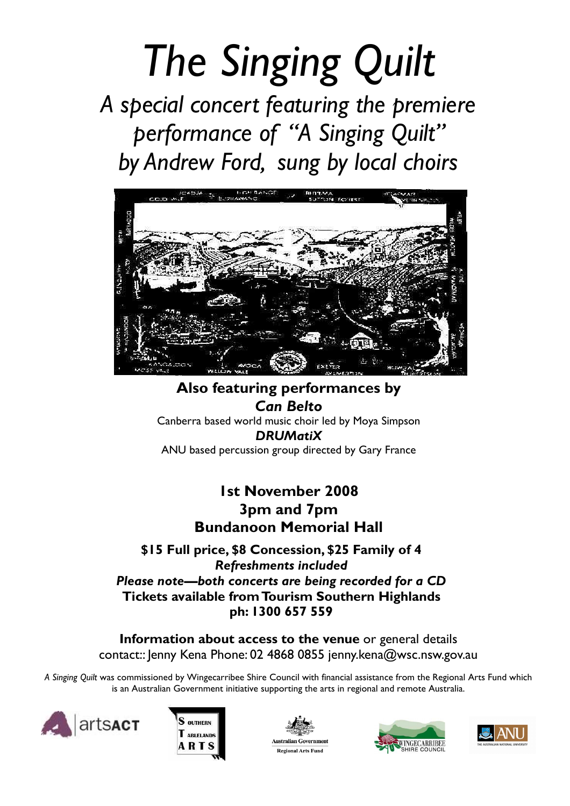# The Singing Quilt

A special concert featuring the premiere performance of "A Singing Quilt" by Andrew Ford, sung by local choirs



Also featuring performances by Can Belto Canberra based world music choir led by Moya Simpson DRUMatiX ANU based percussion group directed by Gary France

# 1st November 2008 3pm and 7pm Bundanoon Memorial Hall

\$15 Full price, \$8 Concession, \$25 Family of 4 Refreshments included Please note—both concerts are being recorded for a CD Tickets available from Tourism Southern Highlands ph: 1300 657 559

Information about access to the venue or general details contact:: Jenny Kena Phone: 02 4868 0855 jenny.kena@wsc.nsw.gov.au

A Singing Quilt was commissioned by Wingecarribee Shire Council with financial assistance from the Regional Arts Fund which is an Australian Government initiative supporting the arts in regional and remote Australia.